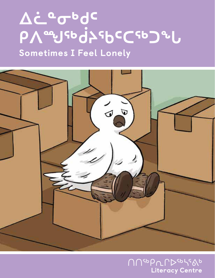# $\Delta$ ċ. a o bdc **ᑭᐱᙳᖅᑰᔨᖃᑦᑕᖅᑐᖕᒐ** Sometimes I Feel Lonely



ถ๊ Literacy Centre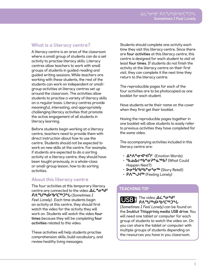## What is a literacy centre?

A literacy centre is an area of the classroom where a small group of students can do a set activity to practise literacy skills. Literacy centres allow teachers to work with small groups of students in guided reading and guided writing sessions. While teachers are working with these students, the rest of the students can work on independent or smallgroup activities at literacy centres set up around the classroom. The activities allow students to practise a variety of literacy skills on a regular basis. Literacy centres provide meaningful, interesting, and appropriately challenging literacy activities that promote the active engagement of all students in literacy learning.

Before students begin working at a literacy centre, teachers need to provide them with direct instruction about how to use the centre. Students should not be expected to work on new skills at the centre. For example, if students are expected to do a sorting activity at a literacy centre, they should have been taught previously, in a whole-class or small-group lesson, how to do sorting activities.

## About this literacy centre

The four activities at this temporary literacy centre are connected to the video **Δε<sup>οσυ</sup>σ ᑭᐱᙳᖅᑰᔨᕐᑲᑦᑕᖅᑐᖓ** (Sometimes I Feel Lonely) . Each time students begin an activity at this centre, they should first watch the video for the activity they will work on. Students will watch the video **four times** because they will be completing **four activities** related to this video.

These activities will help students practise comprehension skills, build vocabulary, and review healthy living messages.

Students should complete one activity each time they visit this literacy centre. Since there are **four activities** at this literacy centre, this centre is designed for each student to visit at least **four times**. If students do not finish the activity at the literacy centre on their first visit, they can complete it the next time they return to the literacy centre.

The reproducible pages for each of the four activities are to be photocopied as one booklet for each student.

Have students write their name on the cover when they first get their booklet.

Having the reproducible pages together in one booklet will allow students to easily refer to previous activities they have completed for the same video.

The accompanying activities included in this literacy centre are:

- **ᐃᒃᐱᓐᓂᐊᔾᔪᑏᑦ** (Emotion Words)
- **قص∆⊂<sup>ъ</sup>ხ≏σר (What Could** Happen Next?)
- **▷σʰbˤbʰbªσˤσˤ**ʰ (Story Retell)
- **ᑭᐱᖖᒍᔪᖅ** (Feeling Lonely)

## TEACHING TIP

The video **ᐃᓛᓐᓂᒃᑯᑦ**  *Ⴒ*᠕ᡨႸᢎႻპႽႦ<sup>ჺ</sup>ႠႪჂ*ჼႱ* 

(Sometimes I Feel Lonely) can be found on the **Inuktut Titiqqiriniq media USB drive**. You will need one tablet or computer for each group of students to watch the video on. Or, you can share the tablet or computer with multiple groups of students depending on the resources you have in you classroom.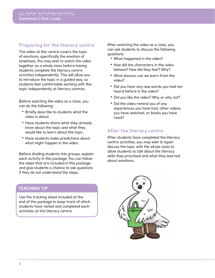## Preparing for the literacy centre

The video at this centre covers the topic of emotions, specifically the emotion of loneliness. You may wish to watch the video together as a whole class before having students complete the literacy centre activities independently. This will allow you to introduce the topic in a guided way, so students feel comfortable working with this topic independently at literacy centres.

Before watching the video as a class, you can do the following:

- **•** Briefly describe to students what the video is about.
- **•** Have students share what they already know about the topic and what they would like to learn about the topic.
- **•** Have students make predictions about what might happen in the video.

Before dividing students into groups, explain each activity in this package. You can follow the steps that are included in this package and give students a chance to ask questions if they do not understand the steps.

## TEACHING TIP

Use the tracking sheet included at the end of this package to keep track of which students have visited and completed each activities at this literacy centre.

After watching the video as a class, you can ask students to discuss the following questions:

- **•** What happened in the video?
- **•** How did the characters in the video behave? How did they feel? Why?
- **•** What lessons can we learn from the video?
- **•** Did you hear any new words you had not heard before in the video?
- **•** Did you like the video? Why or why not?
- **•** Did the video remind you of any experiences you have had, other videos you have watched, or books you have read?

## After the literacy centre

After students have completed the literacy centre activities, you may wish to again discuss the topic with the whole class to allow students to talk about the literacy skills they practised and what they learned about emotions.

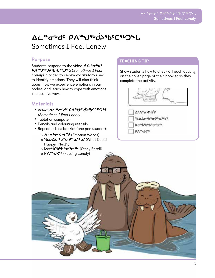# **ᐃᓛᓐᓂᒃᑯᑦ ᑭᐱᙳᖅᑰᔨᕐᑲᑦᑕᖅᑐᖓ** Sometimes I Feel Lonely

## Purpose

Students respond to the video Δ**¿<sup>a</sup>σ<sup>ь</sup>d<sup>c</sup> ᑭᐱᙳᖅᑰᔨᕐᑲᑦᑕᖅᑐᖓ** (Sometimes I Feel Lonely) in order to review vocabulary used to identify emotions. They will also think about how we experience emotions in our bodies, and learn how to cope with emotions in a positive way.

## Materials

- Video: **∆**¿ª Ժታውር የለ የህናቃታት የርናቀጋಒ (Sometimes I Feel Lonely)
- **•** Tablet or computer
- **•** Pencils and colouring utensils
- **•** Reproducibles booklet (one per student):
	- ⊙ **Δ<sup>ь</sup>Λ°σ⊲'≺**∩<sup>c</sup> (Emotion Words)
	- ა **<sup>ა</sup>ხഛ∆⊂°ხ°⊄იმადია?** (What Could Happen Next?)
	- $\circ$  **Σσ<sup>υ</sup>b<sup>5</sup>b<sup>b</sup><sup>e</sup>σ<sup>5</sup>σ<sup>5</sup><sup>b</sup> (Story Retell)**

## TEACHING TIP

Show students how to check off each activity on the cover page of their booklet as they complete the activity.



- **VPV+0-di-Yuc**
- <sup>4</sup>θ.ο <sup>ρε</sup>σ<sup>ο</sup> σ<sup>ρ</sup>ολο.σ<sup>9</sup>
- **Dasbiblion**fass

bVar 74ce

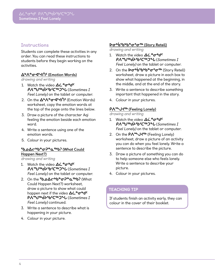## **Instructions**

Students can complete these activities in any order. You can read these instructions to students before they begin working on the activities.

## **ᐃᒃᐱᓐᓂᐊᔾᔪᑏᑦ (Emotion Words)**

drawing and writing

- 1. Watch the video  $\Delta\dot{\mathsf{L}}^{\mathsf{e}}\sigma^{\mathsf{b}}d^{\mathsf{c}}$ **ᑭᐱᙳᖅᑰᔨᕐᑲᑦᑕᖅᑐᖓ** (Sometimes I Feel Lonely) on the tablet or computer.
- 2. On the **Δ<sup>ь</sup>Λ<sup>е</sup>σ⊲<sup>3</sup>τή<sup>ς</sup> (Emotion Words)** worksheet, copy the emotion words at the top of the page onto the lines below.
- 3. Draw a picture of the character Aqi feeling the emotion beside each emotion word.
- 4. Write a sentence using one of the emotion words.
- 5. Colour in your pictures.

## **ᖃᓄᐃᓕᒃᑲᓐᓂᕈᓐᓇᖅᑲ? (What Could Happen Next?)**

drawing and writing

- 1. Watch the video  $\Delta\dot{\mathsf{L}}^{\mathsf{a}}\sigma^{\mathsf{b}}d^{\mathsf{c}}$ **ᑭᐱᙳᖅᑰᔨᕐᑲᑦᑕᖅᑐᖓ** (Sometimes I Feel Lonely) on the tablet or computer.
- 2. On the **ᖃᓄᐃᓕᒃᑲᓐᓂᕈᓐᓇᖅᑲ?** (What Could Happen Next?) worksheet, draw a picture to show what could happen next if the video  $\Delta\dot{\mathsf{L}}^{\mathsf{a}}\sigma^{\mathsf{b}}d^{\mathsf{c}}$ **ᑭᐱᙳᖅᑰᔨᕐᑲᑦᑕᖅᑐᖓ** (Sometimes I Feel Lonely) continued.
- 3. Write a sentence to describe what is happening in your picture.
- 4. Colour in your picture.

## **ᐅᓂᒃᑳᖃᒃᑲᓐᓂᕐᓂᖅ (Story Retell)**

drawing and writing

- 1. Watch the video  $\Delta\dot{\mathsf{L}}^{\mathsf{a}}\sigma^{\mathsf{b}}d^{\mathsf{c}}$ **ᑭᐱᙳᖅᑰᔨᕐᑲᑦᑕᖅᑐᖓ** (Sometimes I Feel Lonely) on the tablet or computer.
- 2. On the **Da<sup>b</sup>b<sup>6</sup>bb<sup>e</sup>a<sup>s</sup>a<sup>sb</sup> (Story Retell)** worksheet, draw a picture in each box to show what happened at the beginning, in the middle, and at the end of the story.
- 3. Write a sentence to describe something important that happened in the story.
- 4. Colour in your pictures.

## **ᑭᐱᖖᒍᔪᖅ (Feeling Lonely)**

drawing and writing

- 1. Watch the video  $\Delta\dot{\mathsf{L}}^{\mathsf{a}}\sigma^{\mathsf{b}}d^{\mathsf{c}}$ **ᑭᐱᙳᖅᑰᔨᕐᑲᑦᑕᖅᑐᖓ** (Sometimes I Feel Lonely) on the tablet or computer.
- 2. On the **P∧<sup>⊕</sup>J√<sup>sb</sup>** (Feeling Lonely) worksheet, draw a picture of an activity you can do when you feel lonely. Write a sentence to describe the picture.
- 3. Draw a picture of something you can do to help someone else who feels lonely. Write a sentence to describe your picture.
- 4. Colour in your pictures.

## TEACHING TIP

If students finish an activity early, they can colour in the cover of their booklet.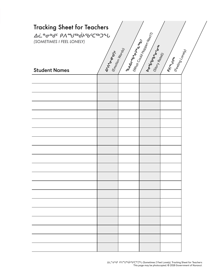| <b>Tracking Sheet for Teachers</b><br><b>Δ</b> έ <sup>α</sup> συσ <sup>ι</sup> ΡΛευτυάλης του τ<br>$\mid \mathit{Nr}_{\mathit{Qq}}_{\mathit{Cov}_{\mathit{ld}}\mathit{H}_{\mathit{Qp}_{\mathit{Qp}_{\mathit{m}}}}^{\mathit{Nq}_{\mathit{q}_{\mathit{R}}}}}\mid \mathit{Nr}_{\mathit{Qp}_{\mathit{q}_{\mathit{R}}^{\mathit{N}_{\mathit{r}}}}^{\mathit{Nq}_{\mathit{q}_{\mathit{R}}^{\mathit{N}_{\mathit{r}}}}}}$<br>I bodragona Reign<br>(SOMETIMES I FEEL LONELY)<br><b>Acroisbute</b><br>(Emotion Words)<br>(Feeling Lonely)<br><b>Asian Branch</b><br><b>PARATIVES</b><br><b>Student Names</b> |  |  |  |  |  |
|--------------------------------------------------------------------------------------------------------------------------------------------------------------------------------------------------------------------------------------------------------------------------------------------------------------------------------------------------------------------------------------------------------------------------------------------------------------------------------------------------------------------------------------------------------------------------------------------------|--|--|--|--|--|
|                                                                                                                                                                                                                                                                                                                                                                                                                                                                                                                                                                                                  |  |  |  |  |  |
|                                                                                                                                                                                                                                                                                                                                                                                                                                                                                                                                                                                                  |  |  |  |  |  |
|                                                                                                                                                                                                                                                                                                                                                                                                                                                                                                                                                                                                  |  |  |  |  |  |
|                                                                                                                                                                                                                                                                                                                                                                                                                                                                                                                                                                                                  |  |  |  |  |  |
|                                                                                                                                                                                                                                                                                                                                                                                                                                                                                                                                                                                                  |  |  |  |  |  |
|                                                                                                                                                                                                                                                                                                                                                                                                                                                                                                                                                                                                  |  |  |  |  |  |
|                                                                                                                                                                                                                                                                                                                                                                                                                                                                                                                                                                                                  |  |  |  |  |  |
|                                                                                                                                                                                                                                                                                                                                                                                                                                                                                                                                                                                                  |  |  |  |  |  |
|                                                                                                                                                                                                                                                                                                                                                                                                                                                                                                                                                                                                  |  |  |  |  |  |
|                                                                                                                                                                                                                                                                                                                                                                                                                                                                                                                                                                                                  |  |  |  |  |  |
|                                                                                                                                                                                                                                                                                                                                                                                                                                                                                                                                                                                                  |  |  |  |  |  |
|                                                                                                                                                                                                                                                                                                                                                                                                                                                                                                                                                                                                  |  |  |  |  |  |
|                                                                                                                                                                                                                                                                                                                                                                                                                                                                                                                                                                                                  |  |  |  |  |  |
|                                                                                                                                                                                                                                                                                                                                                                                                                                                                                                                                                                                                  |  |  |  |  |  |
|                                                                                                                                                                                                                                                                                                                                                                                                                                                                                                                                                                                                  |  |  |  |  |  |
|                                                                                                                                                                                                                                                                                                                                                                                                                                                                                                                                                                                                  |  |  |  |  |  |
|                                                                                                                                                                                                                                                                                                                                                                                                                                                                                                                                                                                                  |  |  |  |  |  |
|                                                                                                                                                                                                                                                                                                                                                                                                                                                                                                                                                                                                  |  |  |  |  |  |
|                                                                                                                                                                                                                                                                                                                                                                                                                                                                                                                                                                                                  |  |  |  |  |  |
|                                                                                                                                                                                                                                                                                                                                                                                                                                                                                                                                                                                                  |  |  |  |  |  |
|                                                                                                                                                                                                                                                                                                                                                                                                                                                                                                                                                                                                  |  |  |  |  |  |
|                                                                                                                                                                                                                                                                                                                                                                                                                                                                                                                                                                                                  |  |  |  |  |  |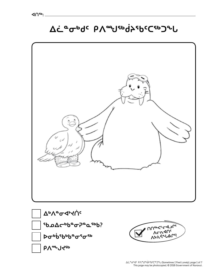



**ZC - Le L V Le Le V Le LIV L'AU**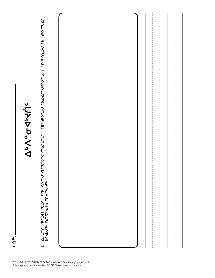**AUsp.** 

# **A**bAad>do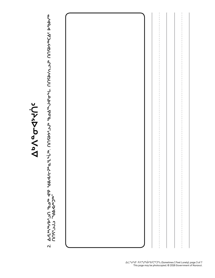

**2. ᐃᓱᒪᒃᓴᖅᓯᐅᕐᓗᑎ ᖃᓄᖅ ᐊᕿ ᖁᕕᐊᓱᓕᕈᓐᓇᕐᒪᖕᒑᖅ. ᑎᑎᕋᐅᔭᕐᓗᒍᒃ ᖃᓄᐃᖖᒍᐊᕐᓂᖕᒐ. ᑎᑎᕋᐅᓯᕆᓗᒍᒃ ᑎᑎᕋᐅᔭᖅᑕᐃᑦ ᐅᖃᐅᓯᖅ**  Δ/Lካናቀ/ÞS-ጋበ የხፊየ ፈናр የძልላ/c-P°e-L°•Նየ በበናÞኦና-ጋህ የኬፊልግላና ምህና በበናÞ/ ሲጋብ በበናኮኦየርΔና ÞየbÞ/የ<br>በበና ጋህ "የልላ ለሥጋየየ" **ᑎᑎᕋᕐᓗᒍᓗ "ᖁᕕᐊᓱᒃᑐᖅ"**  $\overline{\mathbf{N}}$ 

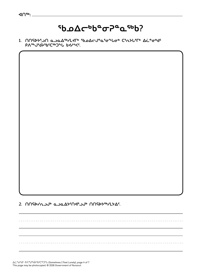# ჼ**Ხ**ഛ∆⊂ჼᲮ°<del></del>~©°°

**1. ᑎᑎᕋᐅᔭᕐᓗᑎ ᓇᓗᓇᐃᖅᓯᒪᔪᒥᒃ ᖃᓄᐃᓕᒍᓐᓇᕐᓂᖕᒐᓂᒃ ᑕᕐᕆᔭᒐᕐᒥᒃ ᐃᓛᓐᓂᒃᑯᑦ ᑭᐱᖖᒍᖂᔨᖃᑦᑕᖅᑐᖕᒐ ᑲᔪᓯᑉᐸᑦ.** 



ᐃᓛᓐᓂᒃᑯᑦ ᑭᐱᙳᖅᑰᔨᕐᑲᑦᑕᖅᑐᖓ (Sometimes I Feel Lonely), page 4 of 7 This page may be photocopied. © 2018 Government of Nunavut.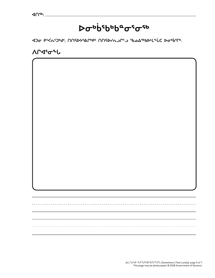# **ᐅᓂᒃᑳᖃᒃᑲᓐᓂᕐᓂᖅ**

**ᐊᑐᓂ ᑭᑉᐹᕆᑦᑐᒃᑯᑦ, ᑎᑎᕋᐅᔭᕐᕕᒋᒃᑭᑦ ᑎᑎᕋᐅᓯᕆᓗᒋᓪᓗ ᖃᓄᐃᖅᑲᐅᒻᒪᖕᒑᑕ ᐅᓂᒃᑳᕐᒥᒃ.**

**ᐱᒋᐊᕐᓂᖕᒐ**

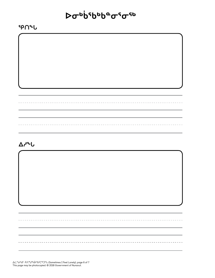# **ᐅᓂᒃᑳᖃᒃᑲᓐᓂᕐᓂᖅ**

--------------------

**ᕿᑎᖕᒐ**

## **ᐃᓱᖕᒐ**

ᐃᓛᓐᓂᒃᑯᑦ ᑭᐱᙳᖅᑰᔨᕐᑲᑦᑕᖅᑐᖓ (Sometimes I Feel Lonely), page 6 of 7 This page may be photocopied. © 2018 Government of Nunavut.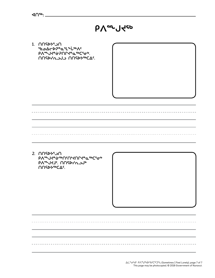

**1. ᑎᑎᕋᐅᔭᕐᓗᑎ ᖃᓄᐃᓕᐅᕈᓐᓇᕐᒪᖕᒑᖅᐱᑦ ᑭᐱᖖᒍᔪᓐᓃᕈᑎᒋᔪᓐᓇᖅᑕᕐᓂᒃ. ᑎᑎᕋᐅᓯᕆᓗᒍᓗ ᑎᑎᕋᐅᔭᖅᑕᐃᑦ.** 

**2. ᑎᑎᕋᐅᔭᕐᓗᑎ ᑭᐱᖖᒍᔪᓐᓃᖅᑎᑦᑎᔾᔪᑎᒋᔪᓐᓇᖅᑕᕐᓂᒃ ᑭᐱᖖᒍᔪᒧᑦ. ᑎᑎᕋᐅᓯᕆᓗᒍᒃ NUSPYSOLG**.

------------------------

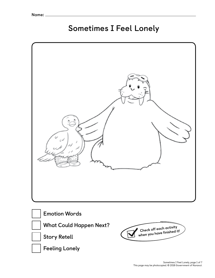## **Sometimes I Feel Lonely**







 **Story Retell**

 **Feeling Lonely**

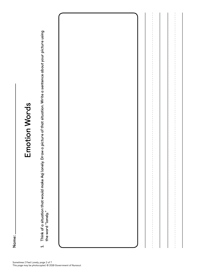Name:<br>Limandon that would make Aqi lonely. Draw a picture of that situation. Write a sentence about your picture using<br>the word "lonely."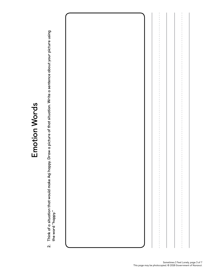

Think of a situation that would make Aqi happy. Draw a picture of that situation. Write a sentence about your picture using<br>the word "happy." **2. Think of a situation that would make Aqi happy. Draw a picture of that situation. Write a sentence about your picture using the word "happy."**  $\overline{\mathbf{v}}$ 

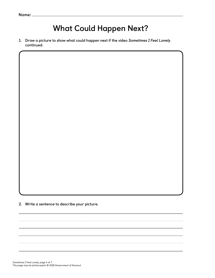# **What Could Happen Next?**

--------------------------------

**1. Draw a picture to show what could happen next if the video Sometimes I Feel Lonely continued.** 

**2. Write a sentence to describe your picture.** 

--------------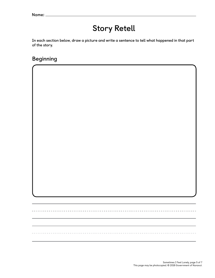# **Story Retell**

**In each section below, draw a picture and write a sentence to tell what happened in that part of the story.** 

## **Beginning**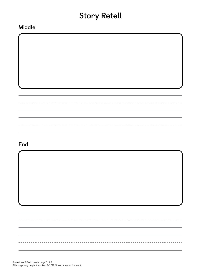# **Story Retell**

## **Middle**

## **End**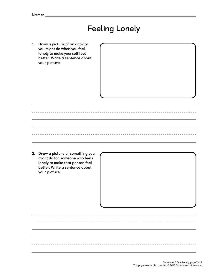# **Feeling Lonely**

**1. Draw a picture of an activity you might do when you feel lonely to make yourself feel better. Write a sentence about your picture.** 

**2. Draw a picture of something you might do for someone who feels lonely to make that person feel better. Write a sentence about your picture.** 

> Sometimes I Feel Lonely, page 7 of 7 This page may be photocopied. © 2018 Government of Nunavut.